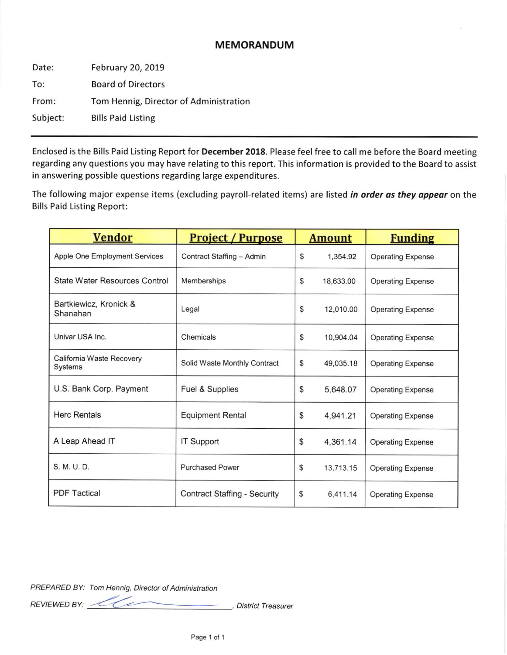## MEMORANDUM

Date: To: From: Subject: February 20, 2019 Board of Directors Tom Hennig, Director of Administration Bills Paid Listing

Enclosed is the Bills Paid Listing Report for December 2018. Please feel free to call me before the Board meeting regarding any questions you may have relating to this report. This information is provided to the Board to assist in answering possible questions regarding large expenditures.

The following major expense items (excluding payroll-related items) are listed in order as they appear on the Bills Paid Listing Report:

| <b>Vendor</b>                        | <b>Project / Purpose</b>            | <b>Amount</b> |           | <b>Funding</b>           |
|--------------------------------------|-------------------------------------|---------------|-----------|--------------------------|
| Apple One Employment Services        | Contract Staffing - Admin           | \$            | 1,354.92  | <b>Operating Expense</b> |
| <b>State Water Resources Control</b> | Memberships                         | \$            | 18,633.00 | <b>Operating Expense</b> |
| Bartkiewicz, Kronick &<br>Shanahan   | Legal                               | \$            | 12,010.00 | <b>Operating Expense</b> |
| Univar USA Inc.                      | Chemicals                           | \$            | 10,904.04 | <b>Operating Expense</b> |
| California Waste Recovery<br>Systems | Solid Waste Monthly Contract        | \$            | 49,035.18 | <b>Operating Expense</b> |
| U.S. Bank Corp. Payment              | Fuel & Supplies                     | \$            | 5,648.07  | <b>Operating Expense</b> |
| <b>Herc Rentals</b>                  | <b>Equipment Rental</b>             | \$            | 4,941.21  | <b>Operating Expense</b> |
| A Leap Ahead IT                      | <b>IT Support</b>                   | \$            | 4,361.14  | <b>Operating Expense</b> |
| S. M. U. D.                          | <b>Purchased Power</b>              | \$            | 13,713.15 | <b>Operating Expense</b> |
| <b>PDF Tactical</b>                  | <b>Contract Staffing - Security</b> | \$            | 6,411.14  | <b>Operating Expense</b> |

PREPARED BY: Tom Hennig, Director of Administration

 $REVIEWED BY: 2002$ 

. District Treasurer